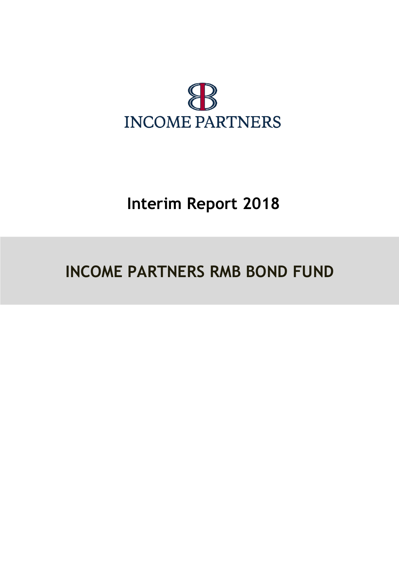

# **Interim Report 2018**

# **INCOME PARTNERS RMB BOND FUND**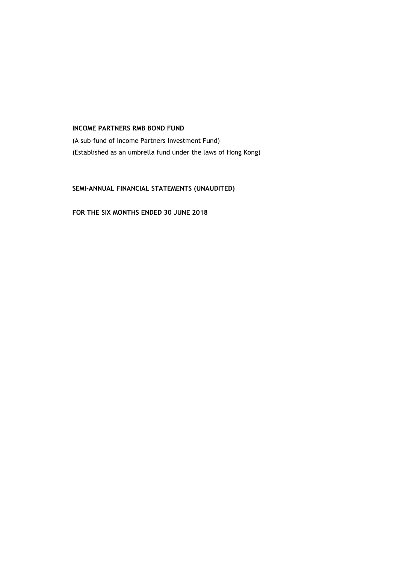(A sub–fund of Income Partners Investment Fund) (Established as an umbrella fund under the laws of Hong Kong)

**SEMI-ANNUAL FINANCIAL STATEMENTS (UNAUDITED)**

**FOR THE SIX MONTHS ENDED 30 JUNE 2018**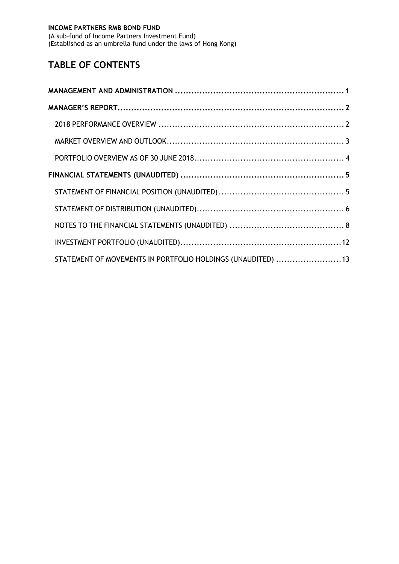(A sub–fund of Income Partners Investment Fund) (Established as an umbrella fund under the laws of Hong Kong)

# **TABLE OF CONTENTS**

| STATEMENT OF MOVEMENTS IN PORTFOLIO HOLDINGS (UNAUDITED) 13 |  |
|-------------------------------------------------------------|--|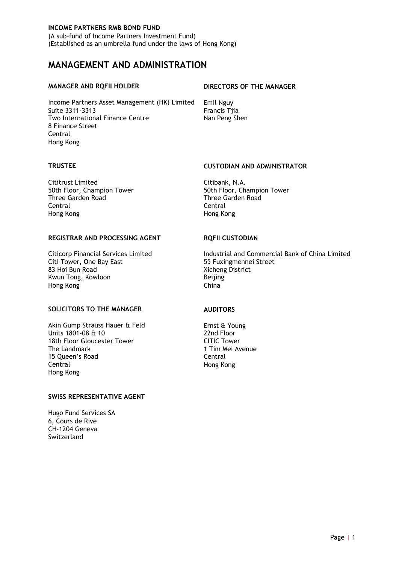(A sub–fund of Income Partners Investment Fund) (Established as an umbrella fund under the laws of Hong Kong)

# <span id="page-4-0"></span>**MANAGEMENT AND ADMINISTRATION**

Income Partners Asset Management (HK) Limited Emil Nguy Suite 3311-3313 Francis Tjia Two International Finance Centre Nan Peng Shen 8 Finance Street Central Hong Kong

#### **MANAGER AND RQFII HOLDER DIRECTORS OF THE MANAGER**

Cititrust Limited Citibank, N.A. Three Garden Road Central Central Hong Kong Hong Kong

#### REGISTRAR AND PROCESSING AGENT **ROFII CUSTODIAN**

Citi Tower, One Bay East<br>83 Hoi Bun Road Kwun Tong, Kowloon Hong Kong **China** 

#### **SOLICITORS TO THE MANAGER AUDITORS**

Akin Gump Strauss Hauer & Feld Ernst & Young<br>
Units 1801-08 & 10<br>
22nd Floor Units 1801-08 & 10<br>18th Floor Gloucester Tower **18th Floor**<br>18th Floor Gloucester Tower 18th Floor Gloucester Tower<br>The Landmark 15 Oueen's Road Central Central Hong Kong Hong Kong

#### **SWISS REPRESENTATIVE AGENT**

Hugo Fund Services SA 6, Cours de Rive CH-1204 Geneva Switzerland

### **TRUSTEE CUSTODIAN AND ADMINISTRATOR**

50th Floor, Champion Tower 50th Floor, Champion Tower 50th Floor, Champion Tower<br>
Three Garden Road 50th Three Garden Road

Citicorp Financial Services Limited Industrial and Commercial Bank of China Limited<br>
Industrial and Commercial Bank of China Limited<br>
55 Fuxingmennei Street Xicheng District<br>Beijing

1 Tim Mei Avenue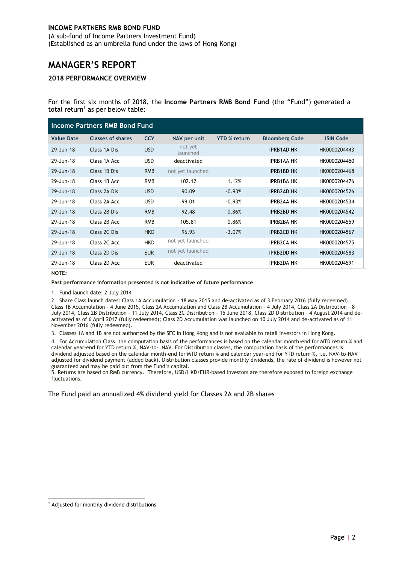(A sub–fund of Income Partners Investment Fund) (Established as an umbrella fund under the laws of Hong Kong)

# <span id="page-5-0"></span>**MANAGER'S REPORT**

#### <span id="page-5-1"></span>**2018 PERFORMANCE OVERVIEW**

For the first six months of 2018, the **Income Partners RMB Bond Fund** (the "Fund") generated a total return<sup>1</sup> as per below table:

| Income Partners RMB Bond Fund |                          |            |                     |                     |                       |                  |
|-------------------------------|--------------------------|------------|---------------------|---------------------|-----------------------|------------------|
| <b>Value Date</b>             | <b>Classes of shares</b> | <b>CCY</b> | NAV per unit        | <b>YTD % return</b> | <b>Bloomberg Code</b> | <b>ISIN Code</b> |
| 29-Jun-18                     | Class 1A Dis             | <b>USD</b> | not yet<br>launched |                     | <b>IPRB1AD HK</b>     | HK0000204443     |
| 29-Jun-18                     | Class 1A Acc             | <b>USD</b> | deactivated         |                     | <b>IPRB1AA HK</b>     | HK0000204450     |
| 29-Jun-18                     | Class 1B Dis             | <b>RMB</b> | not yet launched    |                     | <b>IPRB1BD HK</b>     | HK0000204468     |
| 29-Jun-18                     | Class 1B Acc             | <b>RMB</b> | 102.12              | 1.12%               | <b>IPRB1BA HK</b>     | HK0000204476     |
| 29-Jun-18                     | Class 2A Dis             | <b>USD</b> | 90.09               | $-0.93%$            | <b>IPRB2AD HK</b>     | HK0000204526     |
| 29-Jun-18                     | Class 2A Acc             | <b>USD</b> | 99.01               | $-0.93%$            | <b>IPRB2AA HK</b>     | HK0000204534     |
| 29-Jun-18                     | Class 2B Dis             | <b>RMB</b> | 92.48               | 0.86%               | <b>IPRB2BD HK</b>     | HK0000204542     |
| 29-Jun-18                     | Class 2B Acc             | <b>RMB</b> | 105.81              | 0.86%               | <b>IPRB2BA HK</b>     | HK0000204559     |
| 29-Jun-18                     | Class 2C Dis             | <b>HKD</b> | 96.93               | $-3.07%$            | <b>IPRB2CD HK</b>     | HK0000204567     |
| 29-Jun-18                     | Class 2C Acc             | <b>HKD</b> | not yet launched    |                     | <b>IPRB2CA HK</b>     | HK0000204575     |
| 29-Jun-18                     | Class 2D Dis             | <b>EUR</b> | not yet launched    |                     | <b>IPRB2DD HK</b>     | HK0000204583     |
| 29-Jun-18                     | Class 2D Acc             | <b>EUR</b> | deactivated         |                     | <b>IPRB2DA HK</b>     | HK0000204591     |

#### **NOTE:**

#### **Past performance information presented is not indicative of future performance**

1. Fund launch date: 2 July 2014

2. Share Class launch dates: Class 1A Accumulation - 18 May 2015 and de-activated as of 3 February 2016 (fully redeemed), Class 1B Accumulation - 4 June 2015, Class 2A Accumulation and Class 2B Accumulation – 4 July 2014, Class 2A Distribution – 8 July 2014, Class 2B Distribution – 11 July 2014, Class 2C Distribution – 15 June 2018, Class 2D Distribution – 4 August 2014 and deactivated as of 6 April 2017 (fully redeemed); Class 2D Accumulation was launched on 10 July 2014 and de-activated as of 11 November 2016 (fully redeemed).

3. Classes 1A and 1B are not authorized by the SFC in Hong Kong and is not available to retail investors in Hong Kong.

4. For Accumulation Class, the computation basis of the performances is based on the calendar month-end for MTD return % and calendar year-end for YTD return %, NAV-to- NAV. For Distribution classes, the computation basis of the performances is dividend adjusted based on the calendar month-end for MTD return % and calendar year-end for YTD return %, i.e. NAV-to-NAV adjusted for dividend payment (added back). Distribution classes provide monthly dividends, the rate of dividend is however not guaranteed and may be paid out from the Fund's capital.

5. Returns are based on RMB currency. Therefore, USD/HKD/EUR-based investors are therefore exposed to foreign exchange fluctuations.

<span id="page-5-2"></span>The Fund paid an annualized 4% dividend yield for Classes 2A and 2B shares

<sup>-</sup><sup>1</sup> Adjusted for monthly dividend distributions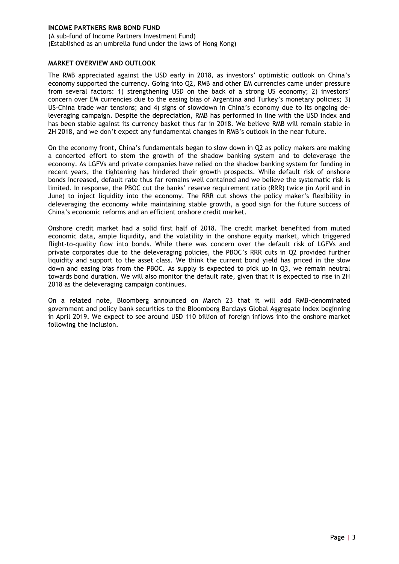(A sub–fund of Income Partners Investment Fund) (Established as an umbrella fund under the laws of Hong Kong)

#### **MARKET OVERVIEW AND OUTLOOK**

The RMB appreciated against the USD early in 2018, as investors' optimistic outlook on China's economy supported the currency. Going into Q2, RMB and other EM currencies came under pressure from several factors: 1) strengthening USD on the back of a strong US economy; 2) investors' concern over EM currencies due to the easing bias of Argentina and Turkey's monetary policies; 3) US-China trade war tensions; and 4) signs of slowdown in China's economy due to its ongoing deleveraging campaign. Despite the depreciation, RMB has performed in line with the USD index and has been stable against its currency basket thus far in 2018. We believe RMB will remain stable in 2H 2018, and we don't expect any fundamental changes in RMB's outlook in the near future.

On the economy front, China's fundamentals began to slow down in Q2 as policy makers are making a concerted effort to stem the growth of the shadow banking system and to deleverage the economy. As LGFVs and private companies have relied on the shadow banking system for funding in recent years, the tightening has hindered their growth prospects. While default risk of onshore bonds increased, default rate thus far remains well contained and we believe the systematic risk is limited. In response, the PBOC cut the banks' reserve requirement ratio (RRR) twice (in April and in June) to inject liquidity into the economy. The RRR cut shows the policy maker's flexibility in deleveraging the economy while maintaining stable growth, a good sign for the future success of China's economic reforms and an efficient onshore credit market.

Onshore credit market had a solid first half of 2018. The credit market benefited from muted economic data, ample liquidity, and the volatility in the onshore equity market, which triggered flight-to-quality flow into bonds. While there was concern over the default risk of LGFVs and private corporates due to the deleveraging policies, the PBOC's RRR cuts in Q2 provided further liquidity and support to the asset class. We think the current bond yield has priced in the slow down and easing bias from the PBOC. As supply is expected to pick up in Q3, we remain neutral towards bond duration. We will also monitor the default rate, given that it is expected to rise in 2H 2018 as the deleveraging campaign continues.

<span id="page-6-0"></span>On a related note, Bloomberg announced on March 23 that it will add RMB-denominated government and policy bank securities to the Bloomberg Barclays Global Aggregate Index beginning in April 2019. We expect to see around USD 110 billion of foreign inflows into the onshore market following the inclusion.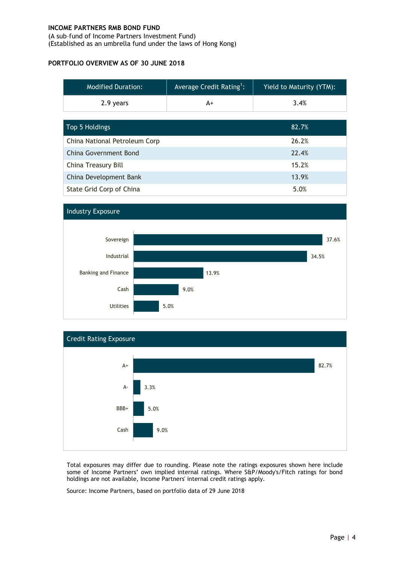(A sub–fund of Income Partners Investment Fund) (Established as an umbrella fund under the laws of Hong Kong)

#### **PORTFOLIO OVERVIEW AS OF 30 JUNE 2018**

| <b>Modified Duration:</b>     | Average Credit Rating <sup>1</sup> : | <b>Yield to Maturity (YTM):</b> |
|-------------------------------|--------------------------------------|---------------------------------|
| 2.9 years                     | A+                                   | 3.4%                            |
|                               |                                      |                                 |
| Top 5 Holdings                |                                      | 82.7%                           |
| China National Petroleum Corp |                                      | 26.2%                           |
| China Government Bond         |                                      | 22.4%                           |
| China Treasury Bill           |                                      | 15.2%                           |
| China Development Bank        |                                      | 13.9%                           |
| State Grid Corp of China      |                                      | 5.0%                            |





Total exposures may differ due to rounding. Please note the ratings exposures shown here include some of Income Partners' own implied internal ratings. Where S&P/Moody's/Fitch ratings for bond holdings are not available, Income Partners' internal credit ratings apply.

Source: Income Partners, based on portfolio data of 29 June 2018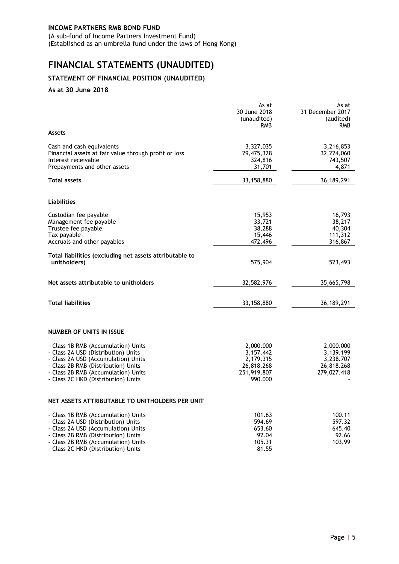(A sub–fund of Income Partners Investment Fund) (Established as an umbrella fund under the laws of Hong Kong)

# <span id="page-8-0"></span>**FINANCIAL STATEMENTS (UNAUDITED)**

## <span id="page-8-1"></span>**STATEMENT OF FINANCIAL POSITION (UNAUDITED)**

#### **As at 30 June 2018**

|                                                                                                                                                                                                                                        | As at<br>30 June 2018<br>(unaudited)<br>RMB                                 | As at<br>31 December 2017<br>(audited)<br><b>RMB</b>             |
|----------------------------------------------------------------------------------------------------------------------------------------------------------------------------------------------------------------------------------------|-----------------------------------------------------------------------------|------------------------------------------------------------------|
| Assets                                                                                                                                                                                                                                 |                                                                             |                                                                  |
| Cash and cash equivalents<br>Financial assets at fair value through profit or loss<br>Interest receivable<br>Prepayments and other assets                                                                                              | 3,327,035<br>29,475,328<br>324,816<br>31,701                                | 3,216,853<br>32,224,060<br>743,507<br>4,871                      |
| <b>Total assets</b>                                                                                                                                                                                                                    | 33,158,880                                                                  | 36, 189, 291                                                     |
| <b>Liabilities</b>                                                                                                                                                                                                                     |                                                                             |                                                                  |
| Custodian fee payable<br>Management fee payable<br>Trustee fee payable<br>Tax payable<br>Accruals and other payables                                                                                                                   | 15,953<br>33,721<br>38,288<br>15,446<br>472,496                             | 16,793<br>38,217<br>40,304<br>111,312<br>316,867                 |
| Total liabilities (excluding net assets attributable to<br>unitholders)                                                                                                                                                                | 575,904                                                                     | 523,493                                                          |
| Net assets attributable to unitholders                                                                                                                                                                                                 | 32,582,976                                                                  | 35,665,798                                                       |
| <b>Total liabilities</b>                                                                                                                                                                                                               | 33,158,880                                                                  | 36,189,291                                                       |
| NUMBER OF UNITS IN ISSUE                                                                                                                                                                                                               |                                                                             |                                                                  |
| - Class 1B RMB (Accumulation) Units<br>- Class 2A USD (Distribution) Units<br>- Class 2A USD (Accumulation) Units<br>- Class 2B RMB (Distribution) Units<br>- Class 2B RMB (Accumulation) Units<br>- Class 2C HKD (Distribution) Units | 2,000.000<br>3,157.442<br>2,179.315<br>26,818.268<br>251,919.807<br>990.000 | 2,000.000<br>3,139.199<br>3,238.707<br>26,818.268<br>279,027.418 |
| NET ASSETS ATTRIBUTABLE TO UNITHOLDERS PER UNIT                                                                                                                                                                                        |                                                                             |                                                                  |
| - Class 1B RMB (Accumulation) Units<br>- Class 2A USD (Distribution) Units<br>- Class 2A USD (Accumulation) Units<br>- Class 2B RMB (Distribution) Units<br>- Class 2B RMB (Accumulation) Units<br>- Class 2C HKD (Distribution) Units | 101.63<br>594.69<br>653.60<br>92.04<br>105.31<br>81.55                      | 100.11<br>597.32<br>645.40<br>92.66<br>103.99                    |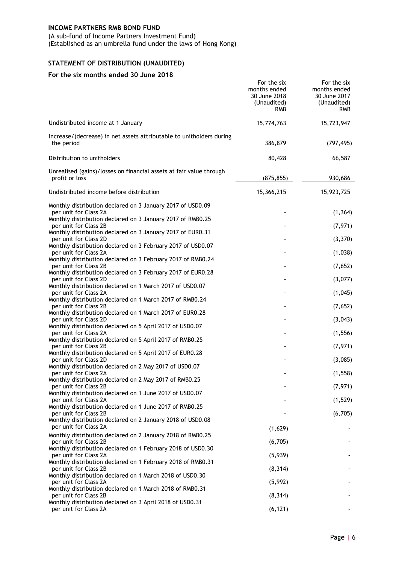(A sub–fund of Income Partners Investment Fund)

(Established as an umbrella fund under the laws of Hong Kong)

# <span id="page-9-0"></span>**STATEMENT OF DISTRIBUTION (UNAUDITED)**

#### **For the six months ended 30 June 2018**

|                                                                                                                                                     | For the six<br>months ended<br>30 June 2018<br>(Unaudited)<br><b>RMB</b> | For the six<br>months ended<br>30 June 2017<br>(Unaudited)<br><b>RMB</b> |
|-----------------------------------------------------------------------------------------------------------------------------------------------------|--------------------------------------------------------------------------|--------------------------------------------------------------------------|
| Undistributed income at 1 January                                                                                                                   | 15,774,763                                                               | 15,723,947                                                               |
| Increase/(decrease) in net assets attributable to unitholders during<br>the period                                                                  | 386,879                                                                  | (797, 495)                                                               |
| Distribution to unitholders                                                                                                                         | 80,428                                                                   | 66,587                                                                   |
| Unrealised (gains)/losses on financial assets at fair value through<br>profit or loss                                                               | (875, 855)                                                               | 930,686                                                                  |
| Undistributed income before distribution                                                                                                            | 15,366,215                                                               | 15,923,725                                                               |
| Monthly distribution declared on 3 January 2017 of USD0.09<br>per unit for Class 2A                                                                 |                                                                          | (1, 364)                                                                 |
| Monthly distribution declared on 3 January 2017 of RMB0.25<br>per unit for Class 2B                                                                 |                                                                          | (7, 971)                                                                 |
| Monthly distribution declared on 3 January 2017 of EUR0.31<br>per unit for Class 2D                                                                 |                                                                          | (3, 370)                                                                 |
| Monthly distribution declared on 3 February 2017 of USD0.07<br>per unit for Class 2A<br>Monthly distribution declared on 3 February 2017 of RMB0.24 |                                                                          | (1,038)                                                                  |
| per unit for Class 2B<br>Monthly distribution declared on 3 February 2017 of EUR0.28                                                                |                                                                          | (7,652)                                                                  |
| per unit for Class 2D                                                                                                                               |                                                                          | (3,077)                                                                  |
| Monthly distribution declared on 1 March 2017 of USD0.07<br>per unit for Class 2A                                                                   |                                                                          | (1,045)                                                                  |
| Monthly distribution declared on 1 March 2017 of RMB0.24<br>per unit for Class 2B                                                                   |                                                                          | (7,652)                                                                  |
| Monthly distribution declared on 1 March 2017 of EUR0.28                                                                                            |                                                                          |                                                                          |
| per unit for Class 2D<br>Monthly distribution declared on 5 April 2017 of USD0.07                                                                   |                                                                          | (3,043)                                                                  |
| per unit for Class 2A<br>Monthly distribution declared on 5 April 2017 of RMB0.25                                                                   |                                                                          | (1, 556)                                                                 |
| per unit for Class 2B<br>Monthly distribution declared on 5 April 2017 of EUR0.28                                                                   |                                                                          | (7, 971)                                                                 |
| per unit for Class 2D                                                                                                                               |                                                                          | (3,085)                                                                  |
| Monthly distribution declared on 2 May 2017 of USD0.07<br>per unit for Class 2A                                                                     |                                                                          | (1, 558)                                                                 |
| Monthly distribution declared on 2 May 2017 of RMB0.25<br>per unit for Class 2B                                                                     |                                                                          | (7, 971)                                                                 |
| Monthly distribution declared on 1 June 2017 of USD0.07                                                                                             |                                                                          |                                                                          |
| per unit for Class 2A<br>Monthly distribution declared on 1 June 2017 of RMB0.25                                                                    |                                                                          | (1,529)                                                                  |
| per unit for Class 2B<br>Monthly distribution declared on 2 January 2018 of USD0.08                                                                 |                                                                          | (6, 705)                                                                 |
| per unit for Class 2A                                                                                                                               | (1,629)                                                                  |                                                                          |
| Monthly distribution declared on 2 January 2018 of RMB0.25<br>per unit for Class 2B                                                                 | (6, 705)                                                                 |                                                                          |
| Monthly distribution declared on 1 February 2018 of USD0.30<br>per unit for Class 2A                                                                | (5,939)                                                                  |                                                                          |
| Monthly distribution declared on 1 February 2018 of RMB0.31                                                                                         |                                                                          |                                                                          |
| per unit for Class 2B<br>Monthly distribution declared on 1 March 2018 of USD0.30                                                                   | (8, 314)                                                                 |                                                                          |
| per unit for Class 2A<br>Monthly distribution declared on 1 March 2018 of RMB0.31                                                                   | (5,992)                                                                  |                                                                          |
| per unit for Class 2B                                                                                                                               | (8, 314)                                                                 |                                                                          |
| Monthly distribution declared on 3 April 2018 of USD0.31<br>per unit for Class 2A                                                                   | (6, 121)                                                                 |                                                                          |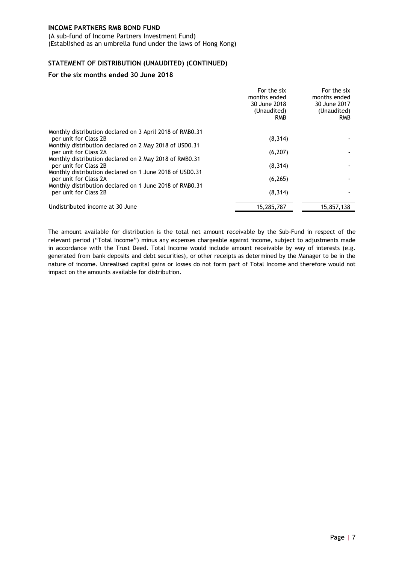(A sub–fund of Income Partners Investment Fund) (Established as an umbrella fund under the laws of Hong Kong)

#### **STATEMENT OF DISTRIBUTION (UNAUDITED) (CONTINUED)**

#### **For the six months ended 30 June 2018**

|                                                                                   | For the six<br>months ended<br>30 June 2018<br>(Unaudited)<br><b>RMB</b> | For the six<br>months ended<br>30 June 2017<br>(Unaudited)<br><b>RMB</b> |
|-----------------------------------------------------------------------------------|--------------------------------------------------------------------------|--------------------------------------------------------------------------|
| Monthly distribution declared on 3 April 2018 of RMB0.31<br>per unit for Class 2B | (8, 314)                                                                 |                                                                          |
| Monthly distribution declared on 2 May 2018 of USD0.31                            |                                                                          |                                                                          |
| per unit for Class 2A<br>Monthly distribution declared on 2 May 2018 of RMB0.31   | (6, 207)                                                                 |                                                                          |
| per unit for Class 2B                                                             | (8, 314)                                                                 |                                                                          |
| Monthly distribution declared on 1 June 2018 of USD0.31<br>per unit for Class 2A  | (6, 265)                                                                 |                                                                          |
| Monthly distribution declared on 1 June 2018 of RMB0.31<br>per unit for Class 2B  | (8, 314)                                                                 |                                                                          |
| Undistributed income at 30 June                                                   | 15,285,787                                                               | 15,857,138                                                               |

The amount available for distribution is the total net amount receivable by the Sub-Fund in respect of the relevant period ("Total Income") minus any expenses chargeable against income, subject to adjustments made in accordance with the Trust Deed. Total Income would include amount receivable by way of interests (e.g. generated from bank deposits and debt securities), or other receipts as determined by the Manager to be in the nature of income. Unrealised capital gains or losses do not form part of Total Income and therefore would not impact on the amounts available for distribution.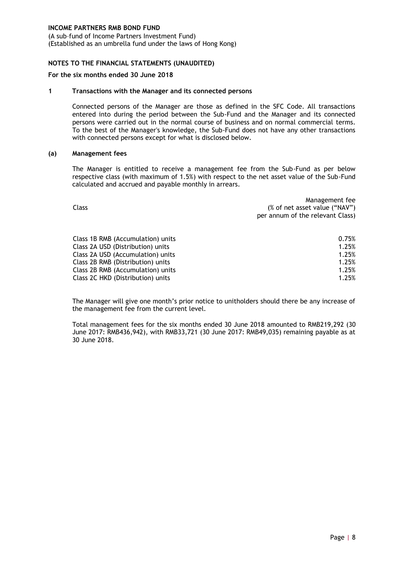(A sub–fund of Income Partners Investment Fund) (Established as an umbrella fund under the laws of Hong Kong)

#### <span id="page-11-0"></span>**NOTES TO THE FINANCIAL STATEMENTS (UNAUDITED)**

#### **For the six months ended 30 June 2018**

#### **1 Transactions with the Manager and its connected persons**

Connected persons of the Manager are those as defined in the SFC Code. All transactions entered into during the period between the Sub-Fund and the Manager and its connected persons were carried out in the normal course of business and on normal commercial terms. To the best of the Manager's knowledge, the Sub-Fund does not have any other transactions with connected persons except for what is disclosed below.

#### **(a) Management fees**

The Manager is entitled to receive a management fee from the Sub-Fund as per below respective class (with maximum of 1.5%) with respect to the net asset value of the Sub-Fund calculated and accrued and payable monthly in arrears.

| Class                             | Management fee<br>(% of net asset value ("NAV")<br>per annum of the relevant Class) |  |
|-----------------------------------|-------------------------------------------------------------------------------------|--|
| Class 1B RMB (Accumulation) units | 0.75%                                                                               |  |
| Class 2A USD (Distribution) units | 1.25%                                                                               |  |
| Class 2A USD (Accumulation) units | 1.25%                                                                               |  |
| Class 2B RMB (Distribution) units | 1.25%                                                                               |  |
| Class 2B RMB (Accumulation) units | 1.25%                                                                               |  |
| Class 2C HKD (Distribution) units | 1.25%                                                                               |  |

The Manager will give one month's prior notice to unitholders should there be any increase of the management fee from the current level.

Total management fees for the six months ended 30 June 2018 amounted to RMB219,292 (30 June 2017: RMB436,942), with RMB33,721 (30 June 2017: RMB49,035) remaining payable as at 30 June 2018.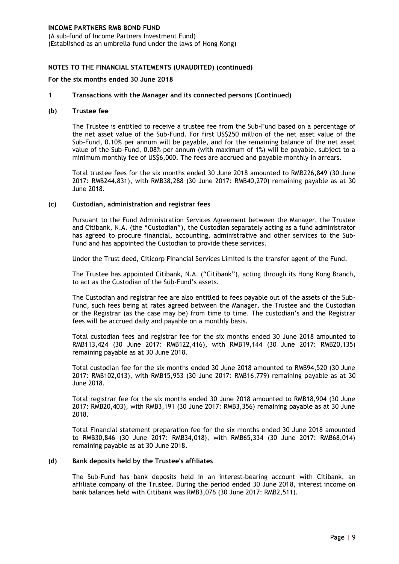(A sub–fund of Income Partners Investment Fund) (Established as an umbrella fund under the laws of Hong Kong)

#### **NOTES TO THE FINANCIAL STATEMENTS (UNAUDITED) (continued)**

#### **For the six months ended 30 June 2018**

#### **1 Transactions with the Manager and its connected persons (Continued)**

#### **(b) Trustee fee**

The Trustee is entitled to receive a trustee fee from the Sub-Fund based on a percentage of the net asset value of the Sub-Fund. For first US\$250 million of the net asset value of the Sub-Fund, 0.10% per annum will be payable, and for the remaining balance of the net asset value of the Sub-Fund, 0.08% per annum (with maximum of 1%) will be payable, subject to a minimum monthly fee of US\$6,000. The fees are accrued and payable monthly in arrears.

Total trustee fees for the six months ended 30 June 2018 amounted to RMB226,849 (30 June 2017: RMB244,831), with RMB38,288 (30 June 2017: RMB40,270) remaining payable as at 30 June 2018.

#### **(c) Custodian, administration and registrar fees**

Pursuant to the Fund Administration Services Agreement between the Manager, the Trustee and Citibank, N.A. (the "Custodian"), the Custodian separately acting as a fund administrator has agreed to procure financial, accounting, administrative and other services to the Sub-Fund and has appointed the Custodian to provide these services.

Under the Trust deed, Citicorp Financial Services Limited is the transfer agent of the Fund.

The Trustee has appointed Citibank, N.A. ("Citibank"), acting through its Hong Kong Branch, to act as the Custodian of the Sub-Fund's assets.

The Custodian and registrar fee are also entitled to fees payable out of the assets of the Sub-Fund, such fees being at rates agreed between the Manager, the Trustee and the Custodian or the Registrar (as the case may be) from time to time. The custodian's and the Registrar fees will be accrued daily and payable on a monthly basis.

Total custodian fees and registrar fee for the six months ended 30 June 2018 amounted to RMB113,424 (30 June 2017: RMB122,416), with RMB19,144 (30 June 2017: RMB20,135) remaining payable as at 30 June 2018.

Total custodian fee for the six months ended 30 June 2018 amounted to RMB94,520 (30 June 2017: RMB102,013), with RMB15,953 (30 June 2017: RMB16,779) remaining payable as at 30 June 2018.

Total registrar fee for the six months ended 30 June 2018 amounted to RMB18,904 (30 June 2017: RMB20,403), with RMB3,191 (30 June 2017: RMB3,356) remaining payable as at 30 June 2018.

Total Financial statement preparation fee for the six months ended 30 June 2018 amounted to RMB30,846 (30 June 2017: RMB34,018), with RMB65,334 (30 June 2017: RMB68,014) remaining payable as at 30 June 2018.

#### **(d) Bank deposits held by the Trustee's affiliates**

The Sub-Fund has bank deposits held in an interest-bearing account with Citibank, an affiliate company of the Trustee. During the period ended 30 June 2018, interest income on bank balances held with Citibank was RMB3,076 (30 June 2017: RMB2,511).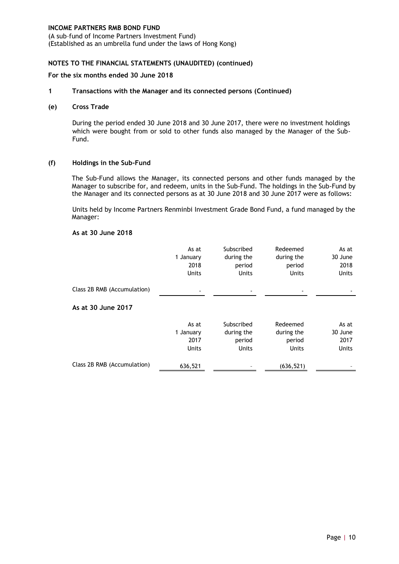(A sub–fund of Income Partners Investment Fund) (Established as an umbrella fund under the laws of Hong Kong)

#### **NOTES TO THE FINANCIAL STATEMENTS (UNAUDITED) (continued)**

#### **For the six months ended 30 June 2018**

#### **1 Transactions with the Manager and its connected persons (Continued)**

#### **(e) Cross Trade**

During the period ended 30 June 2018 and 30 June 2017, there were no investment holdings which were bought from or sold to other funds also managed by the Manager of the Sub-Fund.

#### **(f) Holdings in the Sub-Fund**

The Sub-Fund allows the Manager, its connected persons and other funds managed by the Manager to subscribe for, and redeem, units in the Sub-Fund. The holdings in the Sub-Fund by the Manager and its connected persons as at 30 June 2018 and 30 June 2017 were as follows:

Units held by Income Partners Renminbi Investment Grade Bond Fund, a fund managed by the Manager:

#### **As at 30 June 2018**

|                             | As at<br>1 January<br>2018<br><b>Units</b> | Subscribed<br>during the<br>period<br>Units        | Redeemed<br>during the<br>period<br><b>Units</b> | As at<br>30 June<br>2018<br><b>Units</b> |
|-----------------------------|--------------------------------------------|----------------------------------------------------|--------------------------------------------------|------------------------------------------|
| Class 2B RMB (Accumulation) |                                            |                                                    |                                                  |                                          |
| As at 30 June 2017          |                                            |                                                    |                                                  |                                          |
|                             | As at<br>1 January<br>2017<br><b>Units</b> | Subscribed<br>during the<br>period<br><b>Units</b> | Redeemed<br>during the<br>period<br><b>Units</b> | As at<br>30 June<br>2017<br><b>Units</b> |
| Class 2B RMB (Accumulation) | 636,521                                    |                                                    | (636, 521)                                       |                                          |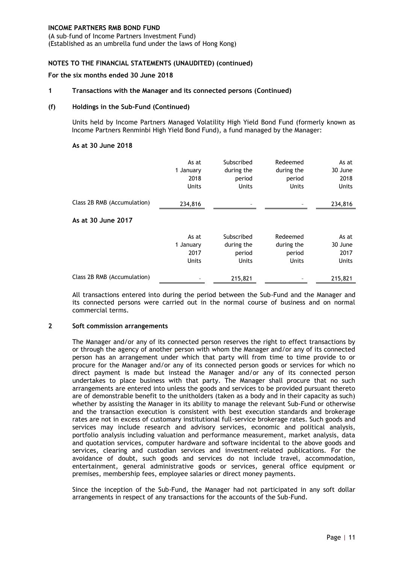(A sub–fund of Income Partners Investment Fund) (Established as an umbrella fund under the laws of Hong Kong)

#### **NOTES TO THE FINANCIAL STATEMENTS (UNAUDITED) (continued)**

#### **For the six months ended 30 June 2018**

#### **1 Transactions with the Manager and its connected persons (Continued)**

#### **(f) Holdings in the Sub-Fund (Continued)**

Units held by Income Partners Managed Volatility High Yield Bond Fund (formerly known as Income Partners Renminbi High Yield Bond Fund), a fund managed by the Manager:

#### **As at 30 June 2018**

|                             | As at<br>1 January<br>2018<br><b>Units</b> | Subscribed<br>during the<br>period<br><b>Units</b> | Redeemed<br>during the<br>period<br>Units | As at<br>30 June<br>2018<br><b>Units</b> |
|-----------------------------|--------------------------------------------|----------------------------------------------------|-------------------------------------------|------------------------------------------|
| Class 2B RMB (Accumulation) | 234,816                                    |                                                    |                                           | 234,816                                  |
| As at 30 June 2017          |                                            |                                                    |                                           |                                          |
|                             | As at<br>1 January<br>2017<br><b>Units</b> | Subscribed<br>during the<br>period<br><b>Units</b> | Redeemed<br>during the<br>period<br>Units | As at<br>30 June<br>2017<br><b>Units</b> |
| Class 2B RMB (Accumulation) |                                            | 215,821                                            |                                           | 215,821                                  |

All transactions entered into during the period between the Sub-Fund and the Manager and its connected persons were carried out in the normal course of business and on normal commercial terms.

#### **2 Soft commission arrangements**

The Manager and/or any of its connected person reserves the right to effect transactions by or through the agency of another person with whom the Manager and/or any of its connected person has an arrangement under which that party will from time to time provide to or procure for the Manager and/or any of its connected person goods or services for which no direct payment is made but instead the Manager and/or any of its connected person undertakes to place business with that party. The Manager shall procure that no such arrangements are entered into unless the goods and services to be provided pursuant thereto are of demonstrable benefit to the unitholders (taken as a body and in their capacity as such) whether by assisting the Manager in its ability to manage the relevant Sub-Fund or otherwise and the transaction execution is consistent with best execution standards and brokerage rates are not in excess of customary institutional full-service brokerage rates. Such goods and services may include research and advisory services, economic and political analysis, portfolio analysis including valuation and performance measurement, market analysis, data and quotation services, computer hardware and software incidental to the above goods and services, clearing and custodian services and investment-related publications. For the avoidance of doubt, such goods and services do not include travel, accommodation, entertainment, general administrative goods or services, general office equipment or premises, membership fees, employee salaries or direct money payments.

Since the inception of the Sub-Fund, the Manager had not participated in any soft dollar arrangements in respect of any transactions for the accounts of the Sub-Fund.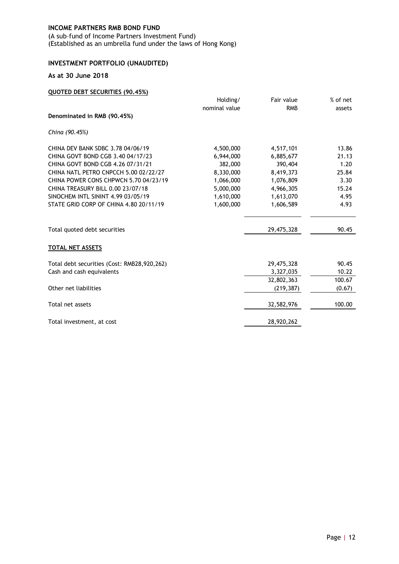(A sub–fund of Income Partners Investment Fund) (Established as an umbrella fund under the laws of Hong Kong)

# <span id="page-15-0"></span>**INVESTMENT PORTFOLIO (UNAUDITED)**

#### **As at 30 June 2018**

| <b>QUOTED DEBT SECURITIES (90.45%)</b>      |               |            |          |
|---------------------------------------------|---------------|------------|----------|
|                                             | Holding/      | Fair value | % of net |
|                                             | nominal value | <b>RMB</b> | assets   |
| Denominated in RMB (90.45%)                 |               |            |          |
| China (90.45%)                              |               |            |          |
| CHINA DEV BANK SDBC 3.78 04/06/19           | 4,500,000     | 4,517,101  | 13.86    |
| CHINA GOVT BOND CGB 3.40 04/17/23           | 6,944,000     | 6,885,677  | 21.13    |
| CHINA GOVT BOND CGB 4.26 07/31/21           | 382,000       | 390,404    | 1.20     |
| CHINA NATL PETRO CNPCCH 5.00 02/22/27       | 8,330,000     | 8,419,373  | 25.84    |
| CHINA POWER CONS CHPWCN 5.70 04/23/19       | 1,066,000     | 1,076,809  | 3.30     |
| CHINA TREASURY BILL 0.00 23/07/18           | 5,000,000     | 4,966,305  | 15.24    |
| SINOCHEM INTL SININT 4.99 03/05/19          | 1,610,000     | 1,613,070  | 4.95     |
| STATE GRID CORP OF CHINA 4.80 20/11/19      | 1,600,000     | 1,606,589  | 4.93     |
| Total quoted debt securities                |               | 29,475,328 | 90.45    |
| <b>TOTAL NET ASSETS</b>                     |               |            |          |
| Total debt securities (Cost: RMB28,920,262) |               | 29,475,328 | 90.45    |
| Cash and cash equivalents                   |               | 3,327,035  | 10.22    |
|                                             |               | 32,802,363 | 100.67   |
| Other net liabilities                       |               | (219, 387) | (0.67)   |
| Total net assets                            |               | 32,582,976 | 100.00   |
| Total investment, at cost                   |               | 28,920,262 |          |
|                                             |               |            |          |